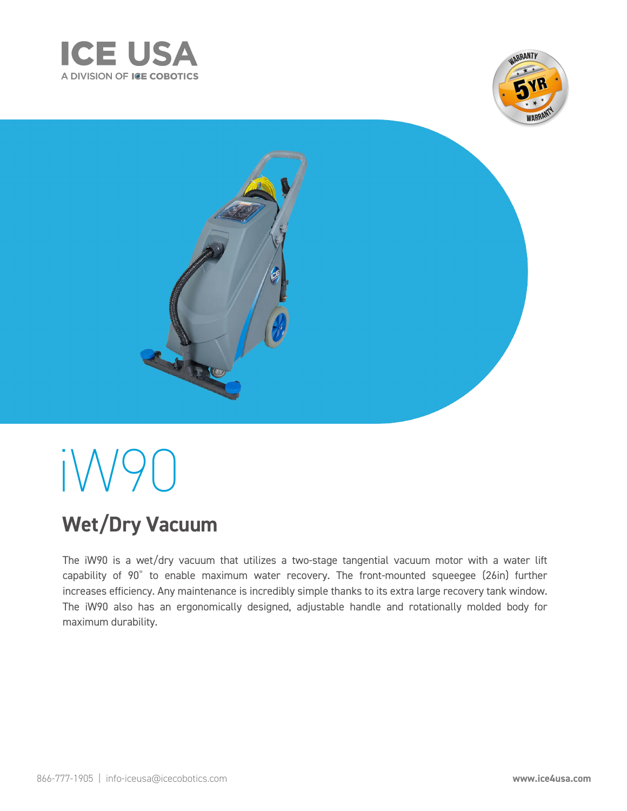





# i W 90

## **Wet/Dry Vacuum**

The iW90 is a wet/dry vacuum that utilizes a two-stage tangential vacuum motor with a water lift capability of 90" to enable maximum water recovery. The front-mounted squeegee (26in) further increases efficiency. Any maintenance is incredibly simple thanks to its extra large recovery tank window. The iW90 also has an ergonomically designed, adjustable handle and rotationally molded body for maximum durability.